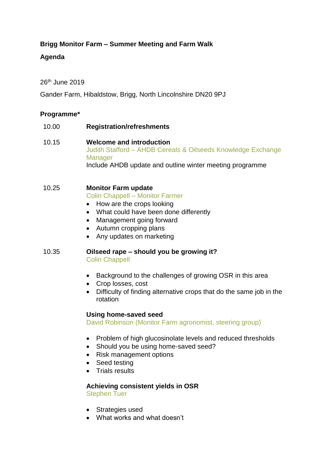## **Brigg Monitor Farm – Summer Meeting and Farm Walk**

## **Agenda**

26th June 2019

Gander Farm, Hibaldstow, Brigg, North Lincolnshire DN20 9PJ

### **Programme\***

| 10.00 | <b>Registration/refreshments</b>                                                                                                                                       |
|-------|------------------------------------------------------------------------------------------------------------------------------------------------------------------------|
| 10.15 | <b>Welcome and introduction</b><br>Judith Stafford - AHDB Cereals & Oilseeds Knowledge Exchange<br>Manager<br>Include AHDB update and outline winter meeting programme |
| 10.25 | <b>Monitor Farm update</b><br><b>Colin Chappell - Monitor Farmer</b><br>• How are the crops looking                                                                    |

- What could have been done differently
- Management going forward
- Autumn cropping plans
- Any updates on marketing

#### 10.35 **Oilseed rape – should you be growing it?** Colin Chappell

- Background to the challenges of growing OSR in this area
- Crop losses, cost
- Difficulty of finding alternative crops that do the same job in the rotation

### **Using home-saved seed**

David Robinson (Monitor Farm agronomist, steering group)

- Problem of high glucosinolate levels and reduced thresholds
- Should you be using home-saved seed?
- Risk management options
- Seed testing
- **Trials results**

**Achieving consistent yields in OSR** Stephen Tuer

- Strategies used
- What works and what doesn't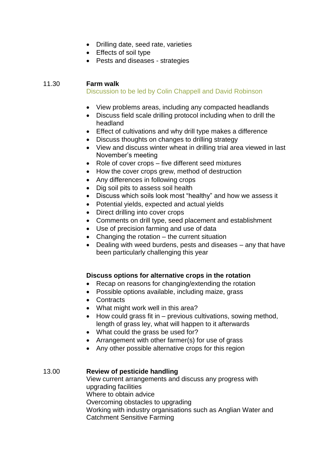- Drilling date, seed rate, varieties
- Effects of soil type
- Pests and diseases strategies

### 11.30 **Farm walk**

Discussion to be led by Colin Chappell and David Robinson

- View problems areas, including any compacted headlands
- Discuss field scale drilling protocol including when to drill the headland
- Effect of cultivations and why drill type makes a difference
- Discuss thoughts on changes to drilling strategy
- View and discuss winter wheat in drilling trial area viewed in last November's meeting
- Role of cover crops five different seed mixtures
- How the cover crops grew, method of destruction
- Any differences in following crops
- Dig soil pits to assess soil health
- Discuss which soils look most "healthy" and how we assess it
- Potential yields, expected and actual yields
- Direct drilling into cover crops
- Comments on drill type, seed placement and establishment
- Use of precision farming and use of data
- Changing the rotation the current situation
- Dealing with weed burdens, pests and diseases any that have been particularly challenging this year

### **Discuss options for alternative crops in the rotation**

- Recap on reasons for changing/extending the rotation
- Possible options available, including maize, grass
- Contracts
- What might work well in this area?
- $\bullet$  How could grass fit in previous cultivations, sowing method, length of grass ley, what will happen to it afterwards
- What could the grass be used for?
- Arrangement with other farmer(s) for use of grass
- Any other possible alternative crops for this region

### 13.00 **Review of pesticide handling**

View current arrangements and discuss any progress with upgrading facilities Where to obtain advice Overcoming obstacles to upgrading Working with industry organisations such as Anglian Water and Catchment Sensitive Farming